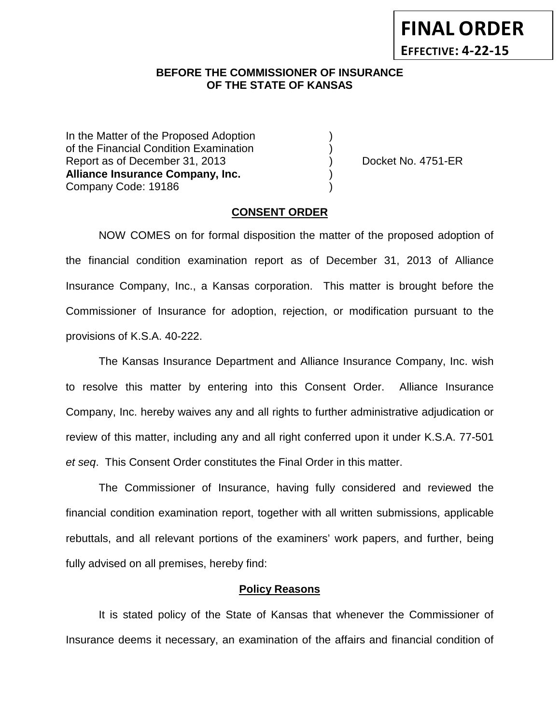**FINAL ORDER EFFECTIVE: 4-22-15**

## **BEFORE THE COMMISSIONER OF INSURANCE OF THE STATE OF KANSAS**

In the Matter of the Proposed Adoption of the Financial Condition Examination ) Report as of December 31, 2013 (and Separation Cooket No. 4751-ER **Alliance Insurance Company, Inc.** ) Company Code: 19186 )

#### **CONSENT ORDER**

NOW COMES on for formal disposition the matter of the proposed adoption of the financial condition examination report as of December 31, 2013 of Alliance Insurance Company, Inc., a Kansas corporation. This matter is brought before the Commissioner of Insurance for adoption, rejection, or modification pursuant to the provisions of K.S.A. 40-222.

The Kansas Insurance Department and Alliance Insurance Company, Inc. wish to resolve this matter by entering into this Consent Order. Alliance Insurance Company, Inc. hereby waives any and all rights to further administrative adjudication or review of this matter, including any and all right conferred upon it under K.S.A. 77-501 *et seq*. This Consent Order constitutes the Final Order in this matter.

The Commissioner of Insurance, having fully considered and reviewed the financial condition examination report, together with all written submissions, applicable rebuttals, and all relevant portions of the examiners' work papers, and further, being fully advised on all premises, hereby find:

### **Policy Reasons**

It is stated policy of the State of Kansas that whenever the Commissioner of Insurance deems it necessary, an examination of the affairs and financial condition of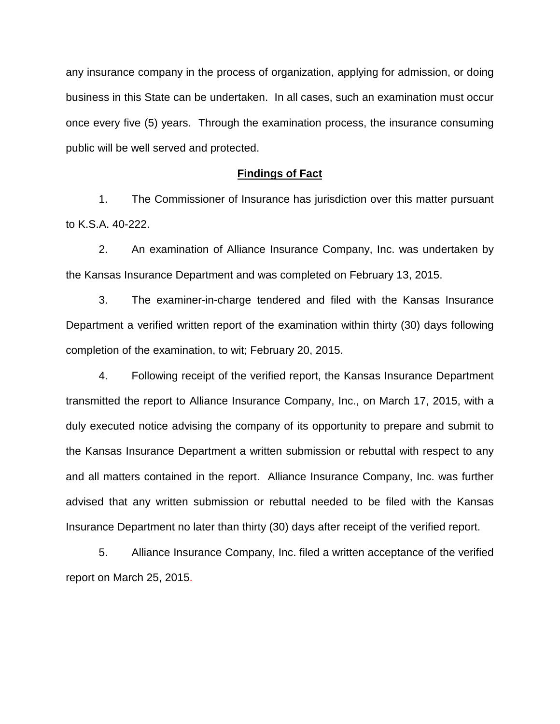any insurance company in the process of organization, applying for admission, or doing business in this State can be undertaken. In all cases, such an examination must occur once every five (5) years. Through the examination process, the insurance consuming public will be well served and protected.

#### **Findings of Fact**

1. The Commissioner of Insurance has jurisdiction over this matter pursuant to K.S.A. 40-222.

2. An examination of Alliance Insurance Company, Inc. was undertaken by the Kansas Insurance Department and was completed on February 13, 2015.

3. The examiner-in-charge tendered and filed with the Kansas Insurance Department a verified written report of the examination within thirty (30) days following completion of the examination, to wit; February 20, 2015.

4. Following receipt of the verified report, the Kansas Insurance Department transmitted the report to Alliance Insurance Company, Inc., on March 17, 2015, with a duly executed notice advising the company of its opportunity to prepare and submit to the Kansas Insurance Department a written submission or rebuttal with respect to any and all matters contained in the report. Alliance Insurance Company, Inc. was further advised that any written submission or rebuttal needed to be filed with the Kansas Insurance Department no later than thirty (30) days after receipt of the verified report.

5. Alliance Insurance Company, Inc. filed a written acceptance of the verified report on March 25, 2015.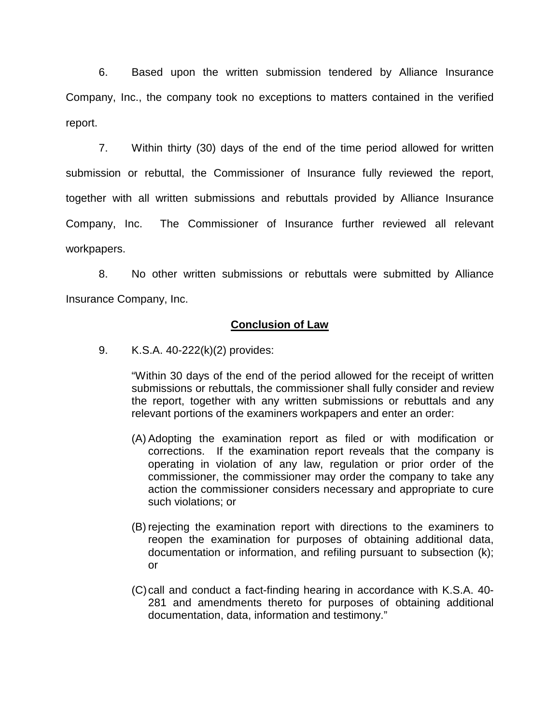6. Based upon the written submission tendered by Alliance Insurance Company, Inc., the company took no exceptions to matters contained in the verified report.

7. Within thirty (30) days of the end of the time period allowed for written submission or rebuttal, the Commissioner of Insurance fully reviewed the report, together with all written submissions and rebuttals provided by Alliance Insurance Company, Inc. The Commissioner of Insurance further reviewed all relevant workpapers.

8. No other written submissions or rebuttals were submitted by Alliance Insurance Company, Inc.

## **Conclusion of Law**

9. K.S.A. 40-222(k)(2) provides:

"Within 30 days of the end of the period allowed for the receipt of written submissions or rebuttals, the commissioner shall fully consider and review the report, together with any written submissions or rebuttals and any relevant portions of the examiners workpapers and enter an order:

- (A) Adopting the examination report as filed or with modification or corrections. If the examination report reveals that the company is operating in violation of any law, regulation or prior order of the commissioner, the commissioner may order the company to take any action the commissioner considers necessary and appropriate to cure such violations; or
- (B) rejecting the examination report with directions to the examiners to reopen the examination for purposes of obtaining additional data, documentation or information, and refiling pursuant to subsection (k); or
- (C)call and conduct a fact-finding hearing in accordance with K.S.A. 40- 281 and amendments thereto for purposes of obtaining additional documentation, data, information and testimony."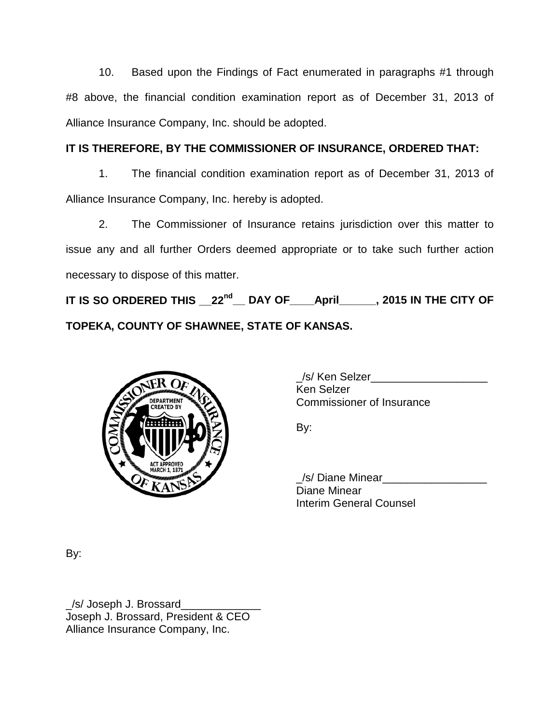10. Based upon the Findings of Fact enumerated in paragraphs #1 through #8 above, the financial condition examination report as of December 31, 2013 of Alliance Insurance Company, Inc. should be adopted.

# **IT IS THEREFORE, BY THE COMMISSIONER OF INSURANCE, ORDERED THAT:**

1. The financial condition examination report as of December 31, 2013 of Alliance Insurance Company, Inc. hereby is adopted.

2. The Commissioner of Insurance retains jurisdiction over this matter to issue any and all further Orders deemed appropriate or to take such further action necessary to dispose of this matter.

**IT IS SO ORDERED THIS \_\_22nd\_\_ DAY OF\_\_\_\_April\_\_\_\_\_\_, 2015 IN THE CITY OF TOPEKA, COUNTY OF SHAWNEE, STATE OF KANSAS.**



| /s/ Ken Selzer                   |  |
|----------------------------------|--|
| Ken Selzer                       |  |
| <b>Commissioner of Insurance</b> |  |

By:

\_/s/ Diane Minear\_\_\_\_\_\_\_\_\_\_\_\_\_\_\_\_\_ Diane Minear Interim General Counsel

By:

\_/s/ Joseph J. Brossard\_\_\_\_\_\_\_\_\_\_\_\_\_ Joseph J. Brossard, President & CEO Alliance Insurance Company, Inc.